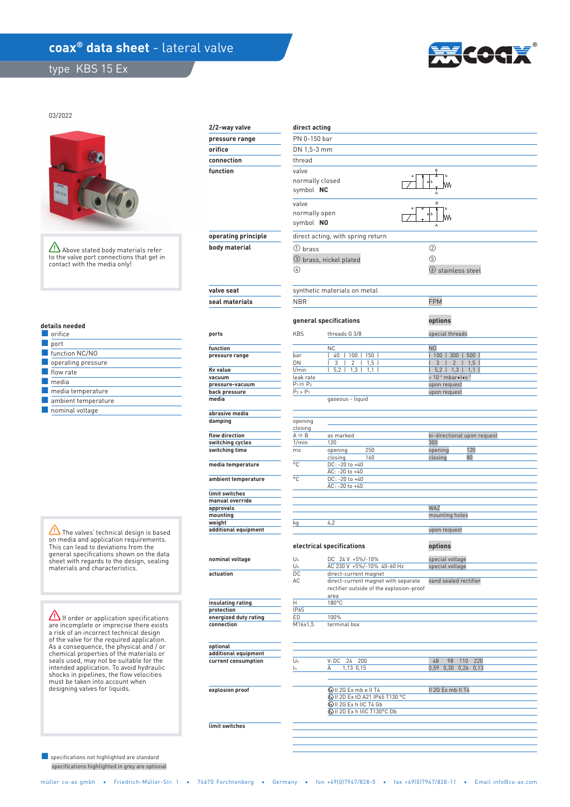## coax<sup>®</sup> data sheet - lateral valve

type KBS 15 Ex



03/2022



Above stated body materials refer to the valve port connections that get in contact with the media only!

|  |  | details needed |  |  |  |  |
|--|--|----------------|--|--|--|--|
|  |  |                |  |  |  |  |

| orifice             |
|---------------------|
| port                |
| function NC/NO      |
| operating pressure  |
| flow rate           |
| media               |
| media temperature   |
| ambient temperature |
| nominal voltage     |

The valves' technical design is based on media and application requirements. This can lead to deviations from the general specifications shown on the data sheet with regards to the design, sealing materials and characteristics.

**If order or application specifications** are incomplete or imprecise there exists a risk of an incorrect technical design of the valve for the required application. As a consequence, the physical and / or chemical properties of the materials or seals used, may not be suitable for the intended application. To avoid hydraulic shocks in pipelines, the flow velocities must be taken into account when designing valves for liquids.

 specifications highlighted in grey are optional ■ specifications not highlighted are standard

| 2/2-way valve                    | direct acting                          |                                                              |                                                           |  |  |  |  |  |
|----------------------------------|----------------------------------------|--------------------------------------------------------------|-----------------------------------------------------------|--|--|--|--|--|
| pressure range                   |                                        | PN 0-150 bar                                                 |                                                           |  |  |  |  |  |
| orifice                          |                                        |                                                              |                                                           |  |  |  |  |  |
| connection                       |                                        | DN 1,5-3 mm<br>thread                                        |                                                           |  |  |  |  |  |
| function                         |                                        | B<br>valve                                                   |                                                           |  |  |  |  |  |
|                                  |                                        | b<br>normally closed                                         |                                                           |  |  |  |  |  |
|                                  | symbol NC                              |                                                              |                                                           |  |  |  |  |  |
|                                  |                                        |                                                              |                                                           |  |  |  |  |  |
|                                  | valve                                  | B<br>normally open                                           |                                                           |  |  |  |  |  |
|                                  |                                        |                                                              | M٨                                                        |  |  |  |  |  |
|                                  | symbol NO                              |                                                              |                                                           |  |  |  |  |  |
| operating principle              |                                        | direct acting, with spring return                            |                                                           |  |  |  |  |  |
| body material                    | ① brass                                |                                                              | ②                                                         |  |  |  |  |  |
|                                  |                                        | 3 brass, nickel plated                                       | 5                                                         |  |  |  |  |  |
|                                  | 4                                      |                                                              | $\circ$ stainless steel                                   |  |  |  |  |  |
|                                  |                                        |                                                              |                                                           |  |  |  |  |  |
| valve seat                       |                                        | synthetic materials on metal                                 |                                                           |  |  |  |  |  |
| seal materials                   | <b>NBR</b>                             |                                                              | <b>FPM</b>                                                |  |  |  |  |  |
|                                  |                                        |                                                              |                                                           |  |  |  |  |  |
|                                  |                                        | general specifications                                       | options                                                   |  |  |  |  |  |
| ports                            | <b>KBS</b>                             | threads G 3/8                                                | special threads                                           |  |  |  |  |  |
|                                  |                                        |                                                              |                                                           |  |  |  |  |  |
| function<br>pressure range       | bar                                    | <b>NC</b><br>40<br>100<br>150                                | N <sub>0</sub><br>100<br>300<br>500                       |  |  |  |  |  |
|                                  | DN                                     | 3<br>2<br>1,5                                                | 3<br>$\overline{2}$<br>1,5                                |  |  |  |  |  |
| Kv value                         | 1/min                                  | 5.2<br>1,3<br>1,1                                            | 5,2<br>1,3<br>1,1                                         |  |  |  |  |  |
| vacuum<br>pressure-vacuum        | leak rate<br>$P_1 \Leftrightarrow P_2$ |                                                              | < 10 <sup>-6</sup> mbar•l•s <sup>-1</sup><br>upon request |  |  |  |  |  |
| back pressure                    | $P_2 > P_1$                            |                                                              | upon request                                              |  |  |  |  |  |
| media                            |                                        | gaseous - liquid                                             |                                                           |  |  |  |  |  |
| abrasive media                   |                                        |                                                              |                                                           |  |  |  |  |  |
| damping                          | opening                                |                                                              |                                                           |  |  |  |  |  |
| flow direction                   | closing<br>$A \Leftrightarrow B$       | as marked                                                    | bi-directional upon request                               |  |  |  |  |  |
| switching cycles                 | 1/min                                  | 120                                                          | 300                                                       |  |  |  |  |  |
| switching time                   | ms                                     | 250<br>opening<br>160<br>closing                             | 120<br>opening<br>80<br>closing                           |  |  |  |  |  |
| media temperature                | °C                                     | DC: -20 to +40                                               |                                                           |  |  |  |  |  |
| ambient temperature              | °C                                     | $AC: -20 to +40$<br>DC: -20 to +40                           |                                                           |  |  |  |  |  |
|                                  |                                        | AC: -20 to +40                                               |                                                           |  |  |  |  |  |
| limit switches                   |                                        |                                                              |                                                           |  |  |  |  |  |
| manual override<br>approvals     |                                        |                                                              | WAZ                                                       |  |  |  |  |  |
| mounting                         |                                        |                                                              | mounting holes                                            |  |  |  |  |  |
| weight<br>additional equipment   | kg                                     | 4,2                                                          | upon request                                              |  |  |  |  |  |
|                                  |                                        |                                                              |                                                           |  |  |  |  |  |
|                                  |                                        | electrical specifications                                    | options                                                   |  |  |  |  |  |
| nominal voltage                  | $U_n$                                  | DC 24 V +5%/-10%                                             | special voltage                                           |  |  |  |  |  |
|                                  | Un                                     | AC 230 V +5%/-10% 40-60 Hz                                   | special voltage                                           |  |  |  |  |  |
| actuation                        | DC<br>AC                               | direct-current magnet<br>direct-current magnet with separate | sand sealed rectifier                                     |  |  |  |  |  |
|                                  |                                        | rectifier outside of the explosion-proof                     |                                                           |  |  |  |  |  |
| insulating rating                | Η                                      | area<br>180°C                                                |                                                           |  |  |  |  |  |
| protection                       | IP65                                   |                                                              |                                                           |  |  |  |  |  |
| energized duty rating            | ED                                     | 100%                                                         |                                                           |  |  |  |  |  |
| connection                       | M16x1,5                                | terminal box                                                 |                                                           |  |  |  |  |  |
|                                  |                                        |                                                              |                                                           |  |  |  |  |  |
| optional<br>additional equipment |                                        |                                                              |                                                           |  |  |  |  |  |
| current consumption              | Un                                     | V-DC<br>24<br>200                                            | 48<br>98<br>110<br>220                                    |  |  |  |  |  |
|                                  | In.                                    | 1,13 0,15<br>Α                                               | 0,59 0,30 0,26 0,13                                       |  |  |  |  |  |
|                                  |                                        |                                                              |                                                           |  |  |  |  |  |
| explosion proof                  |                                        | <b><i>⊙</i></b> II 2G Ex mb e II T4                          | II 2G Ex mb II T4                                         |  |  |  |  |  |
|                                  |                                        | 4 H 2D Ex tD A21 IP65 T130 °C<br>WII 2G Ex h IIC T4 Gb       |                                                           |  |  |  |  |  |
|                                  |                                        | WII 2D Ex h IIIC T130°C Db                                   |                                                           |  |  |  |  |  |
|                                  |                                        |                                                              |                                                           |  |  |  |  |  |
| limit switches                   |                                        |                                                              |                                                           |  |  |  |  |  |
|                                  |                                        |                                                              |                                                           |  |  |  |  |  |